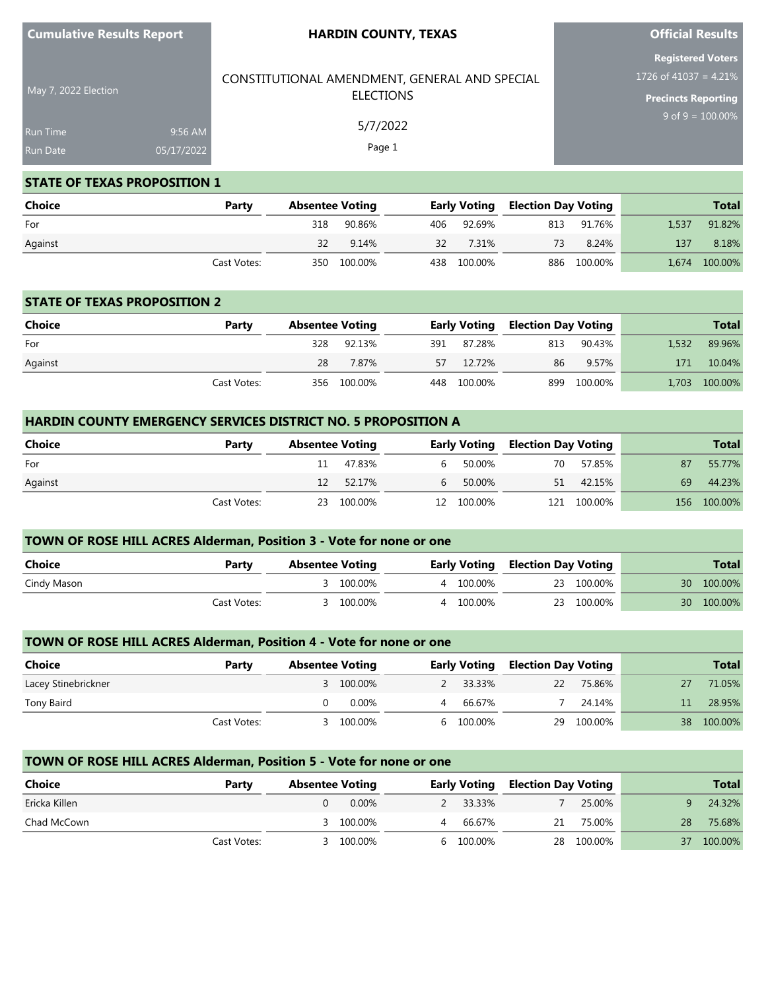| <b>Cumulative Results Report</b> |  |
|----------------------------------|--|
|----------------------------------|--|

May 7, 2022 Election

#### **HARDIN COUNTY, TEXAS**

## **Official Results**

**Precincts Reporting** 9 of  $9 = 100.00%$ 

| <b>Registered Voters</b>                    |  |
|---------------------------------------------|--|
| $1726 \overline{\text{of } 41037} = 4.21\%$ |  |

# CONSTITUTIONAL AMENDMENT, GENERAL AND SPECIAL ELECTIONS 5/7/2022

Run Time 9:56 AM 05/17/2022

#### **STATE OF TEXAS PROPOSITION 1**

| <b>Choice</b> | Party       | <b>Absentee Voting</b> |             |    |             | <b>Early Voting Election Day Voting</b> |             |       | <b>Total</b>  |
|---------------|-------------|------------------------|-------------|----|-------------|-----------------------------------------|-------------|-------|---------------|
| For           |             | 318                    | 90.86%      |    | 406 92.69%  |                                         | 813 91.76%  | 1,537 | 91.82%        |
| Against       |             | 32                     | 9.14%       | 32 | 7.31%       | 73                                      | 8.24%       | 137   | 8.18%         |
|               | Cast Votes: |                        | 350 100.00% |    | 438 100.00% |                                         | 886 100.00% |       | 1,674 100.00% |

Page 1

#### **STATE OF TEXAS PROPOSITION 2**

| Choice  | Party       |     | <b>Absentee Voting</b> |  |             |     | <b>Early Voting Election Day Voting</b> |       | <b>Total</b>  |
|---------|-------------|-----|------------------------|--|-------------|-----|-----------------------------------------|-------|---------------|
| For     |             | 328 | 92.13%                 |  | 391 87.28%  | 813 | 90.43%                                  | 1.532 | 89.96%        |
| Against |             | 28  | 7.87%                  |  | 57 12.72%   | 86  | 9.57%                                   | 171   | 10.04%        |
|         | Cast Votes: |     | 356 100.00%            |  | 448 100.00% |     | 899 100.00%                             |       | 1,703 100.00% |

# **HARDIN COUNTY EMERGENCY SERVICES DISTRICT NO. 5 PROPOSITION A Choice Party Absentee Voting Early Voting Election Day Voting Total** For 11 47.83% 6 50.00% 70 57.85% 87 55.77% Against 12 52.17% 6 50.00% 51 42.15% 69 44.23% Cast Votes: 23 100.00% 12 100.00% 121 100.00% 156 100.00%

| TOWN OF ROSE HILL ACRES Alderman, Position 3 - Vote for none or one |             |                        |           |  |           |  |                                         |                 |              |  |  |
|---------------------------------------------------------------------|-------------|------------------------|-----------|--|-----------|--|-----------------------------------------|-----------------|--------------|--|--|
| Choice                                                              | Party       | <b>Absentee Voting</b> |           |  |           |  | <b>Early Voting Election Day Voting</b> |                 | <b>Total</b> |  |  |
| Cindy Mason                                                         |             | $\prec$                | 100.00%   |  | 4 100.00% |  | 23 100.00%                              | 30 I            | 100.00%      |  |  |
|                                                                     | Cast Votes: |                        | 3 100.00% |  | 4 100.00% |  | 23 100.00%                              | 30 <sup>2</sup> | 100.00%      |  |  |

#### **TOWN OF ROSE HILL ACRES Alderman, Position 4 - Vote for none or one**

| Choice              | Party       | <b>Absentee Voting</b> |           |   |           | <b>Early Voting Election Day Voting</b> |            | <b>Total</b> |
|---------------------|-------------|------------------------|-----------|---|-----------|-----------------------------------------|------------|--------------|
| Lacey Stinebrickner |             |                        | 3 100.00% |   | 2 33.33%  | 22                                      | 75.86%     | 71.05%       |
| Tony Baird          |             |                        | 0.00%     | 4 | 66.67%    |                                         | 24.14%     | 28.95%       |
|                     | Cast Votes: | 3.                     | 100.00%   |   | 6 100.00% |                                         | 29 100.00% | 38 100.00%   |

#### **TOWN OF ROSE HILL ACRES Alderman, Position 5 - Vote for none or one**

| <b>Choice</b> | Party       | <b>Absentee Voting</b> |           | <b>Early Voting</b> |           | Election Day Voting |            |    | <b>Total</b> |
|---------------|-------------|------------------------|-----------|---------------------|-----------|---------------------|------------|----|--------------|
| Ericka Killen |             |                        | $0.00\%$  |                     | 2 33.33%  |                     | 25.00%     |    | 24.32%       |
| Chad McCown   |             |                        | 3 100.00% |                     | 66.67%    | 21                  | 75.00%     | 28 | 75.68%       |
|               | Cast Votes: |                        | 3 100.00% |                     | 6 100.00% |                     | 28 100.00% | 37 | 100.00%      |